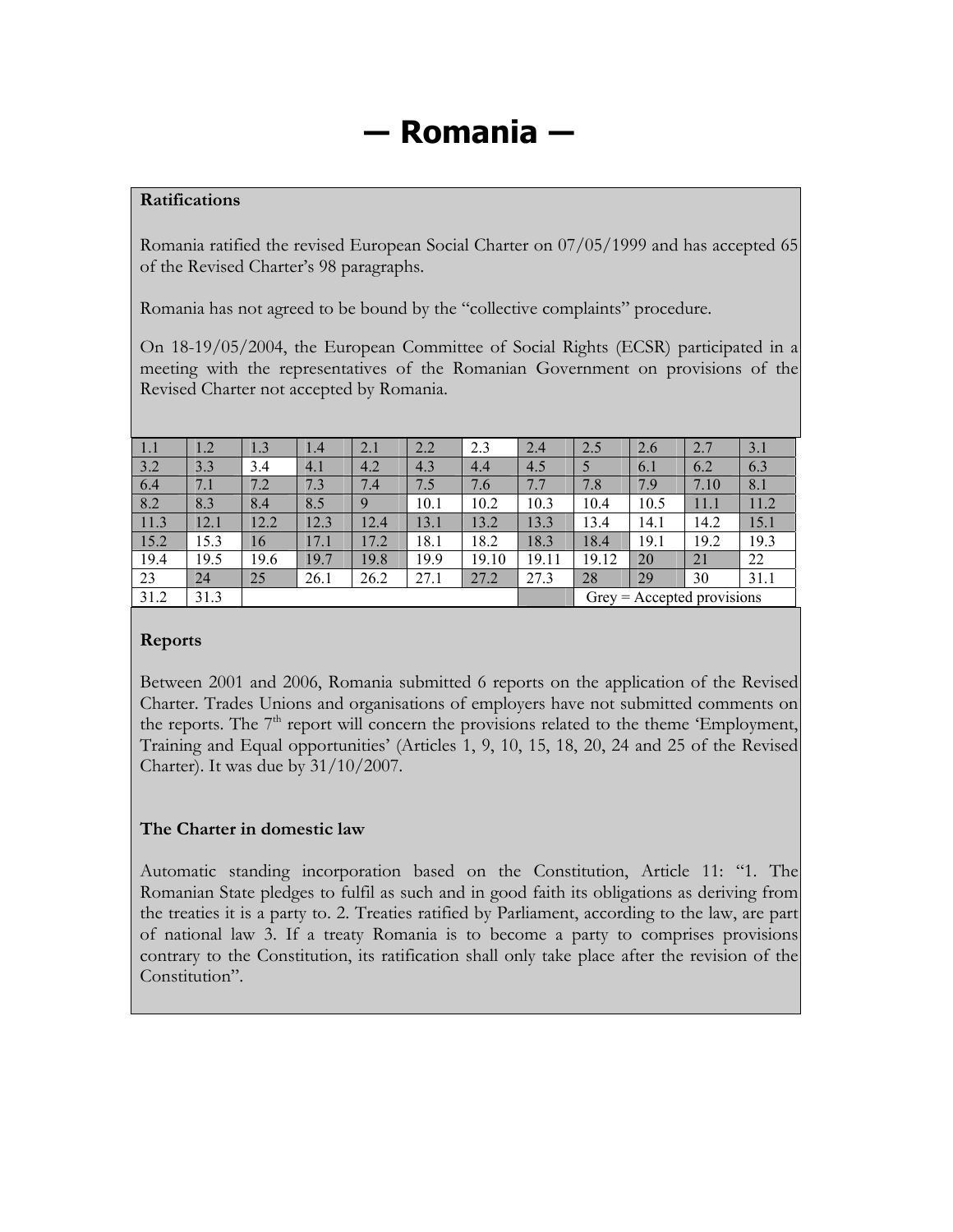# **― Romania ―**

#### **Ratifications**

Romania ratified the revised European Social Charter on 07/05/1999 and has accepted 65 of the Revised Charter's 98 paragraphs.

Romania has not agreed to be bound by the "collective complaints" procedure.

On 18-19/05/2004, the European Committee of Social Rights (ECSR) participated in a meeting with the representatives of the Romanian Government on provisions of the Revised Charter not accepted by Romania.

| 1.1  | 1.2  | 1.3  | 1.4  | 2.1  | 2.2  | 2.3   | 2.4   | 2.5                          | 2.6  | 2.7  | 3.1  |
|------|------|------|------|------|------|-------|-------|------------------------------|------|------|------|
| 3.2  | 3.3  | 3.4  | 4.1  | 4.2  | 4.3  | 4.4   | 4.5   |                              | 6.1  | 6.2  | 6.3  |
| 6.4  | 7.1  | 7.2  | 7.3  | 7.4  | 7.5  | 7.6   | 7.7   | 7.8                          | 7.9  | 7.10 | 8.1  |
| 8.2  | 8.3  | 8.4  | 8.5  | 9    | 10.1 | 10.2  | 10.3  | 10.4                         | 10.5 | 11.1 | 11.2 |
| 11.3 | 12.1 | 12.2 | 12.3 | 12.4 | 13.1 | 13.2  | 13.3  | 13.4                         | 14.1 | 14.2 | 15.1 |
| 15.2 | 15.3 | 16   | 17.1 | 17.2 | 18.1 | 18.2  | 18.3  | 18.4                         | 19.1 | 19.2 | 19.3 |
| 19.4 | 19.5 | 19.6 | 19.7 | 19.8 | 19.9 | 19.10 | 19.11 | 19.12                        | 20   | 21   | 22   |
| 23   | 24   | 25   | 26.1 | 26.2 | 27.1 | 27.2  | 27.3  | 28                           | 29   | 30   | 31.1 |
| 31.2 | 31.3 |      |      |      |      |       |       | $Grey = Accepted provisions$ |      |      |      |

#### **Reports**

Between 2001 and 2006, Romania submitted 6 reports on the application of the Revised Charter. Trades Unions and organisations of employers have not submitted comments on the reports. The  $7<sup>th</sup>$  report will concern the provisions related to the theme 'Employment, Training and Equal opportunities' (Articles 1, 9, 10, 15, 18, 20, 24 and 25 of the Revised Charter). It was due by 31/10/2007.

#### **The Charter in domestic law**

Automatic standing incorporation based on the Constitution, Article 11: "1. The Romanian State pledges to fulfil as such and in good faith its obligations as deriving from the treaties it is a party to. 2. Treaties ratified by Parliament, according to the law, are part of national law 3. If a treaty Romania is to become a party to comprises provisions contrary to the Constitution, its ratification shall only take place after the revision of the Constitution".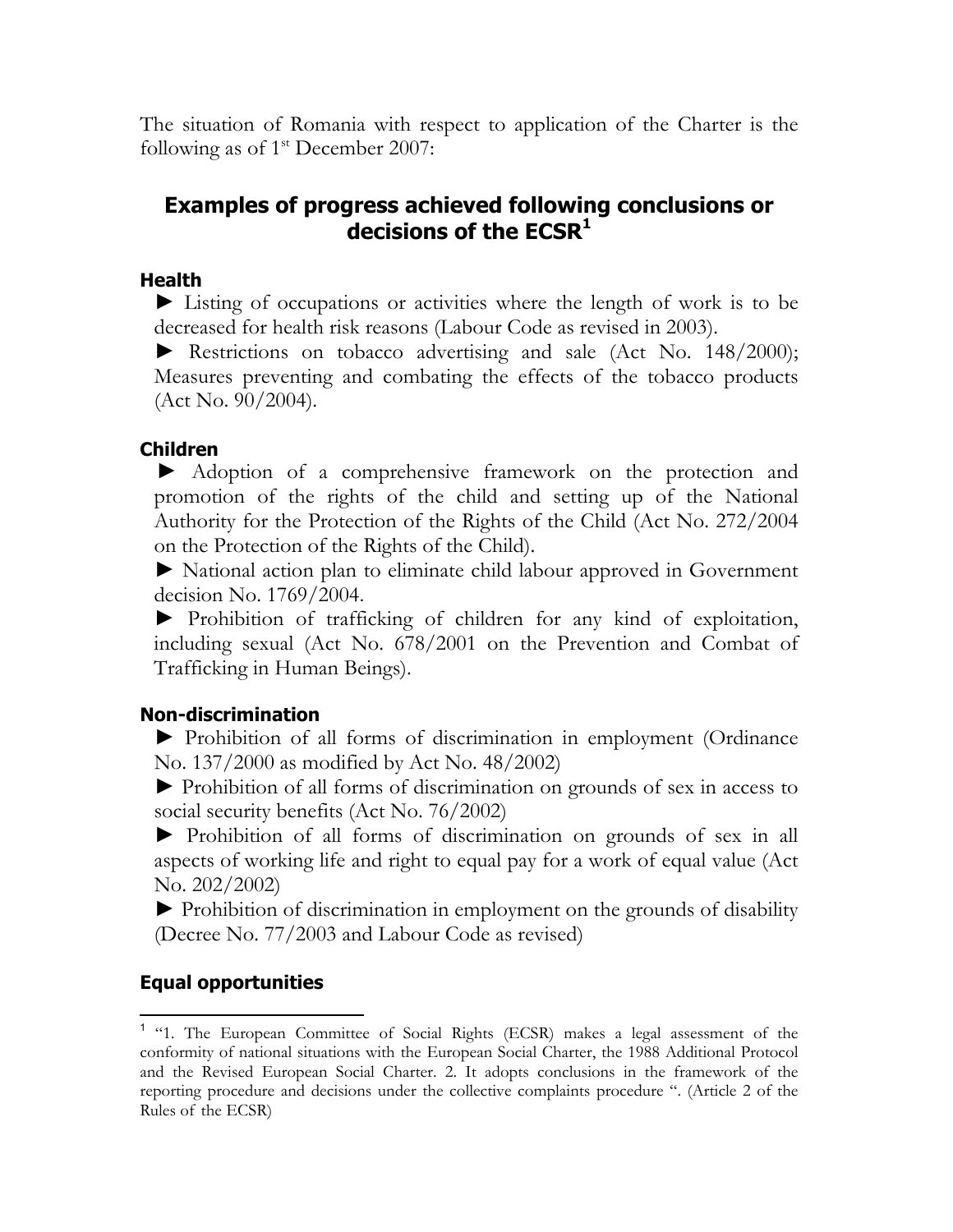The situation of Romania with respect to application of the Charter is the following as of  $1<sup>st</sup>$  December 2007:

# **Examples of progress achieved following conclusions or decisions of the ECSR<sup>1</sup>**

# **Health**

► Listing of occupations or activities where the length of work is to be decreased for health risk reasons (Labour Code as revised in 2003).

► Restrictions on tobacco advertising and sale (Act No. 148/2000); Measures preventing and combating the effects of the tobacco products  $(Act No. 90/2004).$ 

# **Children**

 ► Adoption of a comprehensive framework on the protection and promotion of the rights of the child and setting up of the National Authority for the Protection of the Rights of the Child (Act No. 272/2004 on the Protection of the Rights of the Child).

► National action plan to eliminate child labour approved in Government decision No. 1769/2004.

► Prohibition of trafficking of children for any kind of exploitation, including sexual (Act No. 678/2001 on the Prevention and Combat of Trafficking in Human Beings).

# **Non-discrimination**

► Prohibition of all forms of discrimination in employment (Ordinance No. 137/2000 as modified by Act No. 48/2002)

► Prohibition of all forms of discrimination on grounds of sex in access to social security benefits (Act No. 76/2002)

► Prohibition of all forms of discrimination on grounds of sex in all aspects of working life and right to equal pay for a work of equal value (Act No. 202/2002)

► Prohibition of discrimination in employment on the grounds of disability (Decree No. 77/2003 and Labour Code as revised)

# **Equal opportunities**

 $\overline{a}$ 

<sup>&</sup>lt;sup>1</sup> "1. The European Committee of Social Rights (ECSR) makes a legal assessment of the conformity of national situations with the European Social Charter, the 1988 Additional Protocol and the Revised European Social Charter. 2. It adopts conclusions in the framework of the reporting procedure and decisions under the collective complaints procedure ". (Article 2 of the Rules of the ECSR)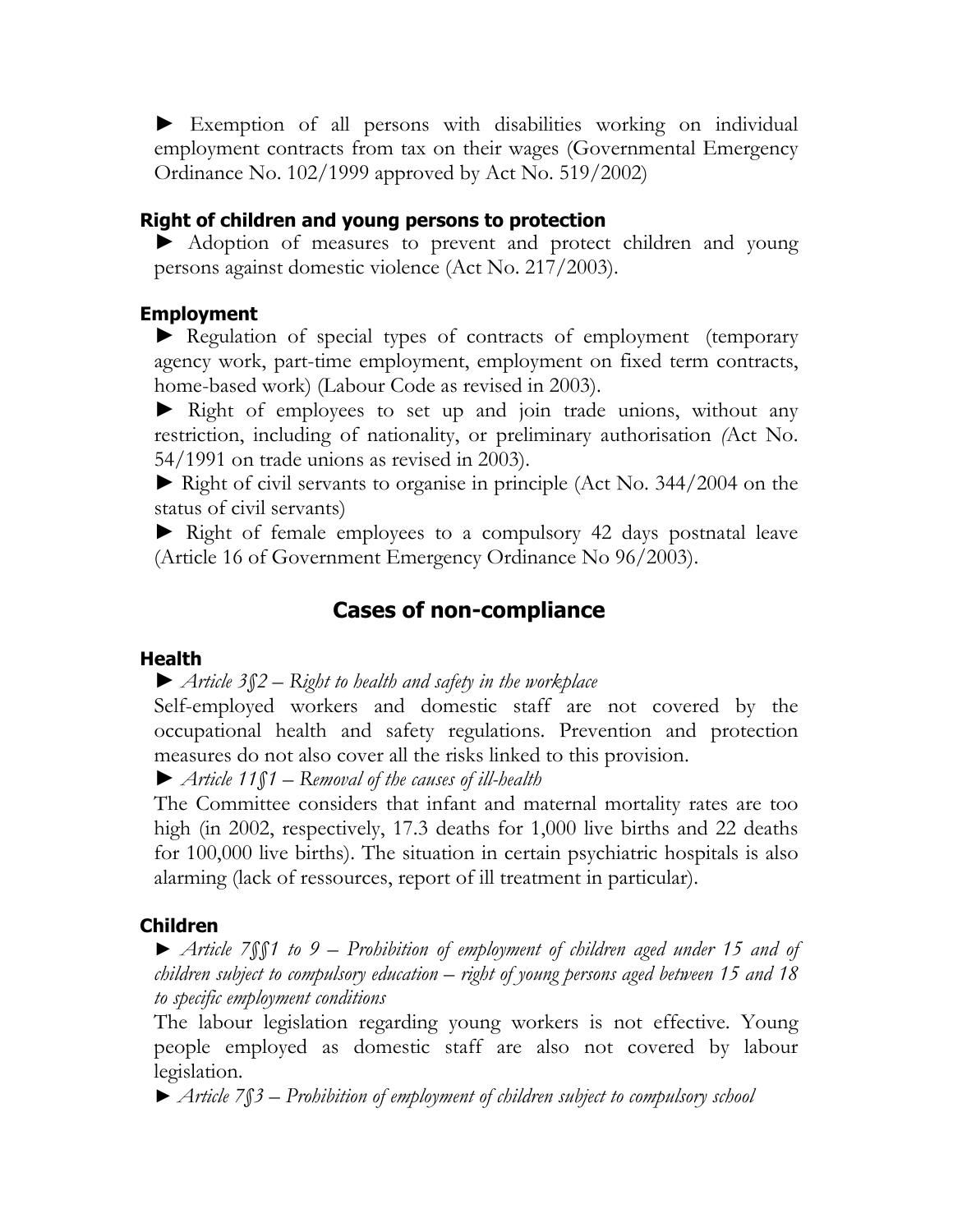► Exemption of all persons with disabilities working on individual employment contracts from tax on their wages (Governmental Emergency Ordinance No. 102/1999 approved by Act No. 519/2002)

#### **Right of children and young persons to protection**

► Adoption of measures to prevent and protect children and young persons against domestic violence (Act No. 217/2003).

#### **Employment**

► Regulation of special types of contracts of employment (temporary agency work, part-time employment, employment on fixed term contracts, home-based work) (Labour Code as revised in 2003).

► Right of employees to set up and join trade unions, without any restriction, including of nationality, or preliminary authorisation *(*Act No. 54/1991 on trade unions as revised in 2003).

► Right of civil servants to organise in principle (Act No. 344/2004 on the status of civil servants)

► Right of female employees to a compulsory 42 days postnatal leave (Article 16 of Government Emergency Ordinance No 96/2003).

# **Cases of non-compliance**

#### **Health**

► *Article 3§2 – Right to health and safety in the workplace* 

Self-employed workers and domestic staff are not covered by the occupational health and safety regulations. Prevention and protection measures do not also cover all the risks linked to this provision.

► *Article 11§1 – Removal of the causes of ill-health*

The Committee considers that infant and maternal mortality rates are too high (in 2002, respectively, 17.3 deaths for 1,000 live births and 22 deaths for 100,000 live births). The situation in certain psychiatric hospitals is also alarming (lack of ressources, report of ill treatment in particular).

#### **Children**

► *Article 7§§1 to 9 – Prohibition of employment of children aged under 15 and of children subject to compulsory education – right of young persons aged between 15 and 18 to specific employment conditions*

The labour legislation regarding young workers is not effective. Young people employed as domestic staff are also not covered by labour legislation.

► *Article 7§3 – Prohibition of employment of children subject to compulsory school*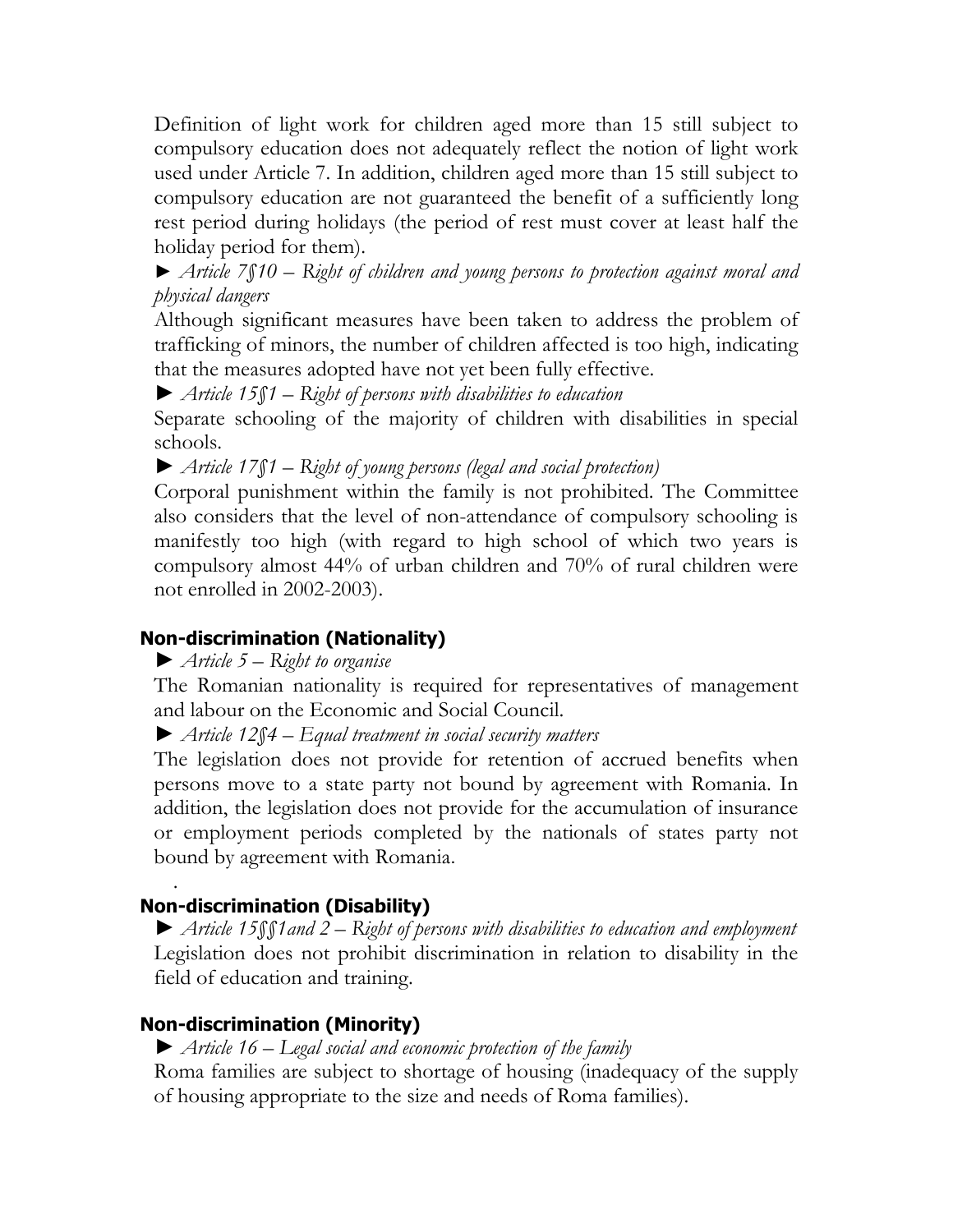Definition of light work for children aged more than 15 still subject to compulsory education does not adequately reflect the notion of light work used under Article 7. In addition, children aged more than 15 still subject to compulsory education are not guaranteed the benefit of a sufficiently long rest period during holidays (the period of rest must cover at least half the holiday period for them).

► *Article 7§10 – Right of children and young persons to protection against moral and physical dangers* 

Although significant measures have been taken to address the problem of trafficking of minors, the number of children affected is too high, indicating that the measures adopted have not yet been fully effective.

► *Article 15§1 – Right of persons with disabilities to education*

Separate schooling of the majority of children with disabilities in special schools.

► *Article 17§1 – Right of young persons (legal and social protection)*

Corporal punishment within the family is not prohibited. The Committee also considers that the level of non-attendance of compulsory schooling is manifestly too high (with regard to high school of which two years is compulsory almost 44% of urban children and 70% of rural children were not enrolled in 2002-2003).

# **Non-discrimination (Nationality)**

► *Article 5 – Right to organise*

The Romanian nationality is required for representatives of management and labour on the Economic and Social Council.

► *Article 12§4 – Equal treatment in social security matters*

The legislation does not provide for retention of accrued benefits when persons move to a state party not bound by agreement with Romania. In addition, the legislation does not provide for the accumulation of insurance or employment periods completed by the nationals of states party not bound by agreement with Romania.

# . **Non-discrimination (Disability)**

► *Article 15§§1and 2 – Right of persons with disabilities to education and employment* Legislation does not prohibit discrimination in relation to disability in the field of education and training.

# **Non-discrimination (Minority)**

► *Article 16 – Legal social and economic protection of the family* 

Roma families are subject to shortage of housing (inadequacy of the supply of housing appropriate to the size and needs of Roma families).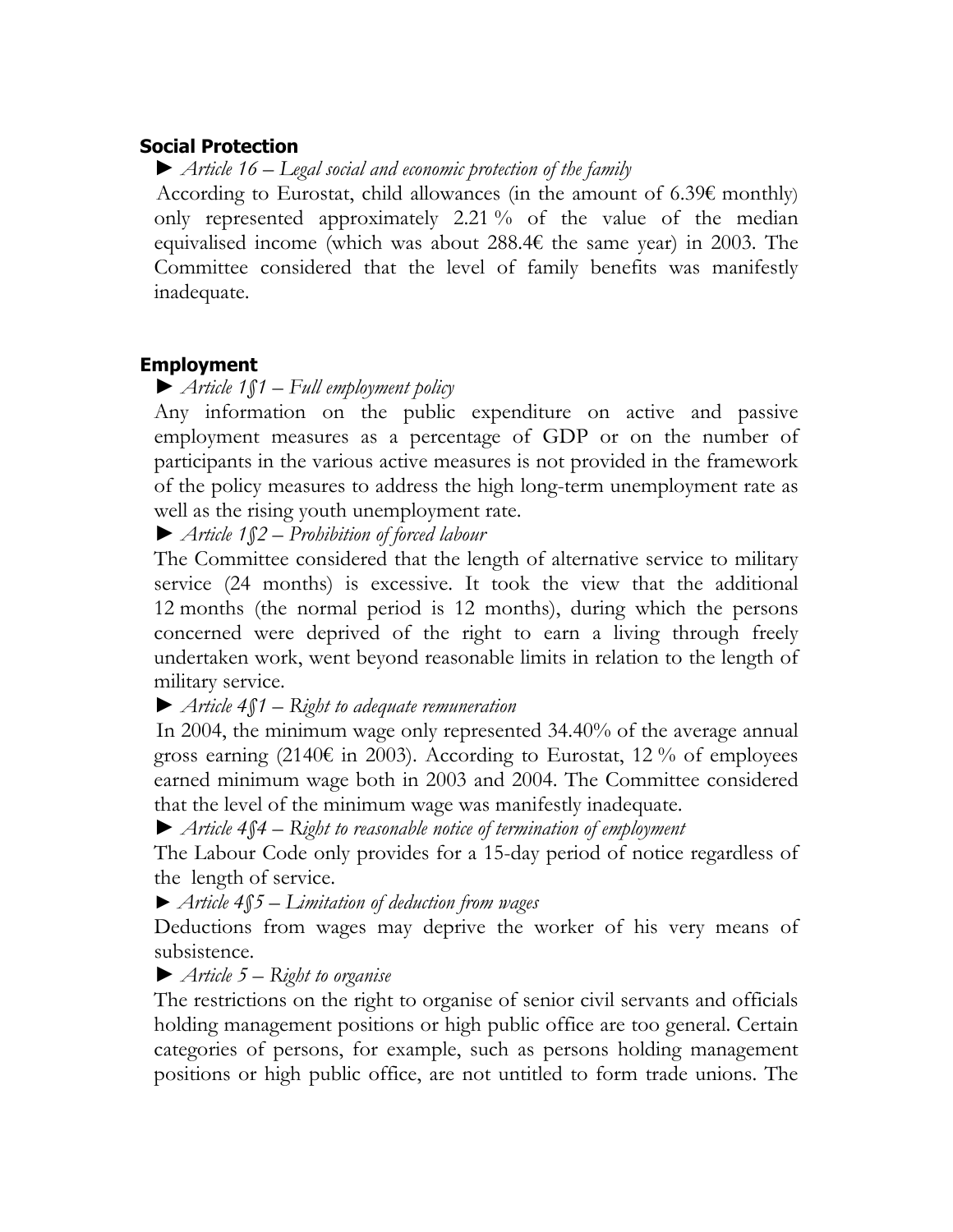## **Social Protection**

► *Article 16 – Legal social and economic protection of the family*

According to Eurostat, child allowances (in the amount of 6.39 $\epsilon$  monthly) only represented approximately 2.21 % of the value of the median equivalised income (which was about 288.4€ the same year) in 2003. The Committee considered that the level of family benefits was manifestly inadequate.

# **Employment**

# ► *Article 1§1 – Full employment policy*

Any information on the public expenditure on active and passive employment measures as a percentage of GDP or on the number of participants in the various active measures is not provided in the framework of the policy measures to address the high long-term unemployment rate as well as the rising youth unemployment rate.

► *Article 1§2 – Prohibition of forced labour*

The Committee considered that the length of alternative service to military service (24 months) is excessive. It took the view that the additional 12 months (the normal period is 12 months), during which the persons concerned were deprived of the right to earn a living through freely undertaken work, went beyond reasonable limits in relation to the length of military service.

► *Article 4§1 – Right to adequate remuneration*

 In 2004, the minimum wage only represented 34.40% of the average annual gross earning (2140 $\epsilon$  in 2003). According to Eurostat, 12% of employees earned minimum wage both in 2003 and 2004. The Committee considered that the level of the minimum wage was manifestly inadequate.

► *Article 4§4 – Right to reasonable notice of termination of employment* 

The Labour Code only provides for a 15-day period of notice regardless of the length of service.

► *Article 4§5 – Limitation of deduction from wages*

Deductions from wages may deprive the worker of his very means of subsistence.

# ► *Article 5 – Right to organise*

The restrictions on the right to organise of senior civil servants and officials holding management positions or high public office are too general. Certain categories of persons, for example, such as persons holding management positions or high public office, are not untitled to form trade unions. The